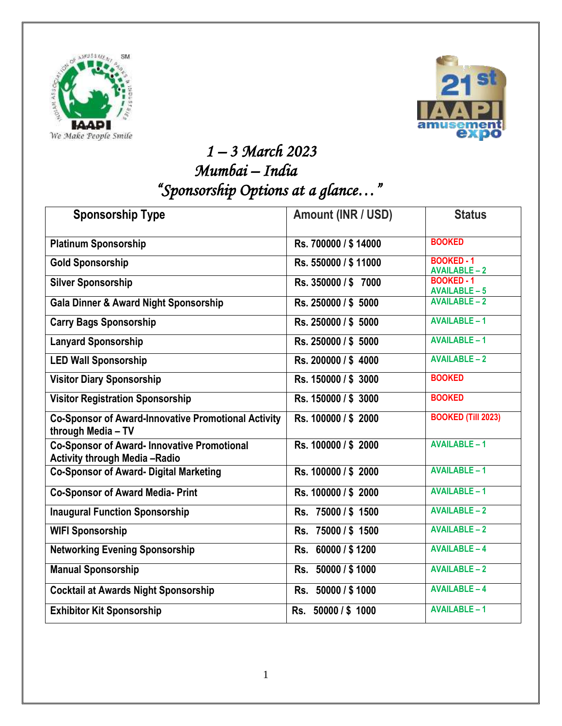



## *1 – 3 March 2023 Mumbai – India "Sponsorship Options at a glance…"*

| <b>Sponsorship Type</b>                                                                    | Amount (INR / USD)    | <b>Status</b>                             |
|--------------------------------------------------------------------------------------------|-----------------------|-------------------------------------------|
| <b>Platinum Sponsorship</b>                                                                | Rs. 700000 / \$14000  | <b>BOOKED</b>                             |
| <b>Gold Sponsorship</b>                                                                    | Rs. 550000 / \$11000  | <b>BOOKED - 1</b><br><b>AVAILABLE-2</b>   |
| <b>Silver Sponsorship</b>                                                                  | Rs. 350000 / \$7000   | <b>BOOKED - 1</b><br><b>AVAILABLE - 5</b> |
| <b>Gala Dinner &amp; Award Night Sponsorship</b>                                           | Rs. 250000 / \$ 5000  | <b>AVAILABLE-2</b>                        |
| <b>Carry Bags Sponsorship</b>                                                              | Rs. 250000 / \$ 5000  | <b>AVAILABLE-1</b>                        |
| <b>Lanyard Sponsorship</b>                                                                 | Rs. 250000 / \$ 5000  | <b>AVAILABLE-1</b>                        |
| <b>LED Wall Sponsorship</b>                                                                | Rs. 200000 / \$4000   | <b>AVAILABLE-2</b>                        |
| <b>Visitor Diary Sponsorship</b>                                                           | Rs. 150000 / \$ 3000  | <b>BOOKED</b>                             |
| <b>Visitor Registration Sponsorship</b>                                                    | Rs. 150000 / \$ 3000  | <b>BOOKED</b>                             |
| <b>Co-Sponsor of Award-Innovative Promotional Activity</b><br>through Media - TV           | Rs. 100000 / \$2000   | <b>BOOKED (Till 2023)</b>                 |
| <b>Co-Sponsor of Award- Innovative Promotional</b><br><b>Activity through Media -Radio</b> | Rs. 100000 / \$2000   | <b>AVAILABLE-1</b>                        |
| <b>Co-Sponsor of Award- Digital Marketing</b>                                              | Rs. 100000 / \$2000   | <b>AVAILABLE-1</b>                        |
| <b>Co-Sponsor of Award Media- Print</b>                                                    | Rs. 100000 / \$2000   | <b>AVAILABLE-1</b>                        |
| <b>Inaugural Function Sponsorship</b>                                                      | Rs. 75000 / \$1500    | <b>AVAILABLE-2</b>                        |
| <b>WIFI Sponsorship</b>                                                                    | Rs. 75000 / \$1500    | <b>AVAILABLE-2</b>                        |
| <b>Networking Evening Sponsorship</b>                                                      | 60000 / \$1200<br>Rs. | <b>AVAILABLE-4</b>                        |
| <b>Manual Sponsorship</b>                                                                  | Rs. 50000 / \$1000    | <b>AVAILABLE-2</b>                        |
| <b>Cocktail at Awards Night Sponsorship</b>                                                | Rs. 50000 / \$1000    | <b>AVAILABLE-4</b>                        |
| <b>Exhibitor Kit Sponsorship</b>                                                           | Rs. 50000 / \$1000    | <b>AVAILABLE-1</b>                        |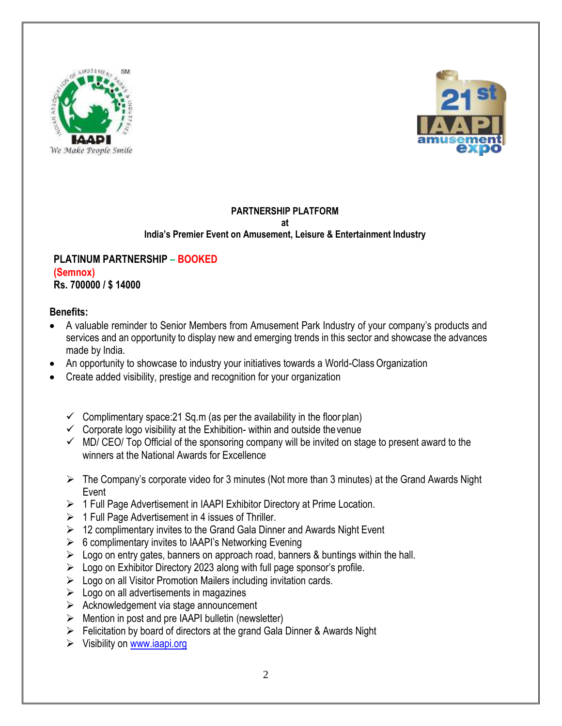



## **PARTNERSHIP PLATFORM at India's Premier Event on Amusement, Leisure & Entertainment Industry**

#### **PLATINUM PARTNERSHIP – BOOKED (Semnox) Rs. 700000 / \$ 14000**

## **Benefits:**

- A valuable reminder to Senior Members from Amusement Park Industry of your company's products and services and an opportunity to display new and emerging trends in this sector and showcase the advances made by India.
- An opportunity to showcase to industry your initiatives towards a World-Class Organization
- Create added visibility, prestige and recognition for your organization
	- $\checkmark$  Complimentary space: 21 Sq.m (as per the availability in the floor plan)
	- $\checkmark$  Corporate logo visibility at the Exhibition- within and outside the venue
	- $\checkmark$  MD/ CEO/ Top Official of the sponsoring company will be invited on stage to present award to the winners at the National Awards for Excellence
	- ➢ The Company's corporate video for 3 minutes (Not more than 3 minutes) at the Grand Awards Night Event
	- ➢ 1 Full Page Advertisement in IAAPI Exhibitor Directory at Prime Location.
	- $\geq 1$  Full Page Advertisement in 4 issues of Thriller.
	- $\geq 12$  complimentary invites to the Grand Gala Dinner and Awards Night Event
	- $\triangleright$  6 complimentary invites to IAAPI's Networking Evening
	- $\triangleright$  Logo on entry gates, banners on approach road, banners & buntings within the hall.
	- $\triangleright$  Logo on Exhibitor Directory 2023 along with full page sponsor's profile.
	- ➢ Logo on all Visitor Promotion Mailers including invitation cards.
	- $\triangleright$  Logo on all advertisements in magazines
	- ➢ Acknowledgement via stage announcement
	- $\triangleright$  Mention in post and pre IAAPI bulletin (newsletter)
	- ➢ Felicitation by board of directors at the grand Gala Dinner & Awards Night
	- ➢ Visibility on [www.iaapi.org](http://www.iaapi.org/)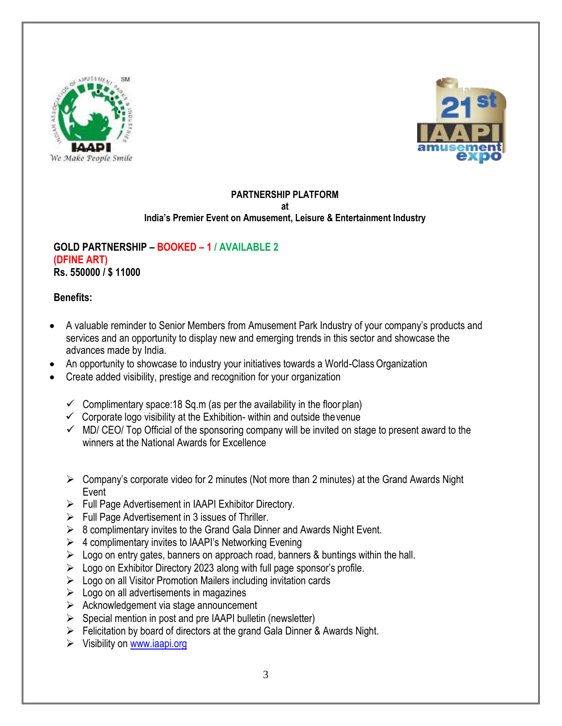



## **PARTNERSHIP PLATFORM**

**at**

#### **India's Premier Event on Amusement, Leisure & Entertainment Industry**

#### **GOLD PARTNERSHIP – BOOKED – 1 / AVAILABLE 2 (DFINE ART) Rs. 550000 / \$ 11000**

#### **Benefits:**

- A valuable reminder to Senior Members from Amusement Park Industry of your company's products and services and an opportunity to display new and emerging trends in this sector and showcase the advances made by India.
- An opportunity to showcase to industry your initiatives towards a World-Class Organization
- Create added visibility, prestige and recognition for your organization
	- $\checkmark$  Complimentary space: 18 Sq.m (as per the availability in the floor plan)
	- $\checkmark$  Corporate logo visibility at the Exhibition- within and outside the venue
	- $\checkmark$  MD/ CEO/ Top Official of the sponsoring company will be invited on stage to present award to the winners at the National Awards for Excellence
	- ➢ Company's corporate video for 2 minutes (Not more than 2 minutes) at the Grand Awards Night Event
	- ➢ Full Page Advertisement in IAAPI Exhibitor Directory.
	- $\triangleright$  Full Page Advertisement in 3 issues of Thriller.
	- $\geq 8$  complimentary invites to the Grand Gala Dinner and Awards Night Event.
	- $\triangleright$  4 complimentary invites to IAAPI's Networking Evening
	- $\triangleright$  Logo on entry gates, banners on approach road, banners & buntings within the hall.
	- $\triangleright$  Logo on Exhibitor Directory 2023 along with full page sponsor's profile.
	- ➢ Logo on all Visitor Promotion Mailers including invitation cards
	- $\triangleright$  Logo on all advertisements in magazines
	- ➢ Acknowledgement via stage announcement
	- $\triangleright$  Special mention in post and pre IAAPI bulletin (newsletter)
	- ➢ Felicitation by board of directors at the grand Gala Dinner & Awards Night.
	- ➢ Visibility on [www.iaapi.org](http://www.iaapi.org/)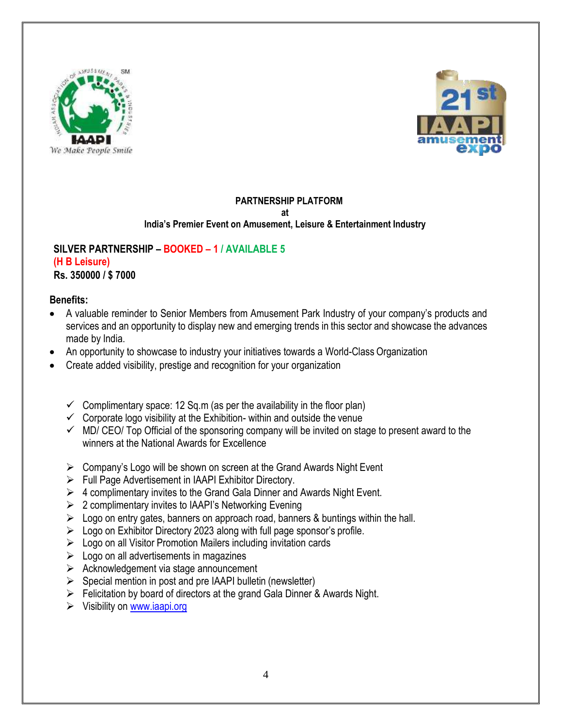



## **PARTNERSHIP PLATFORM**

**at**

#### **India's Premier Event on Amusement, Leisure & Entertainment Industry**

## **SILVER PARTNERSHIP – BOOKED – 1 / AVAILABLE 5 (H B Leisure)**

**Rs. 350000 / \$ 7000**

## **Benefits:**

- A valuable reminder to Senior Members from Amusement Park Industry of your company's products and services and an opportunity to display new and emerging trends in this sector and showcase the advances made by India.
- An opportunity to showcase to industry your initiatives towards a World-Class Organization
- Create added visibility, prestige and recognition for your organization
	- $\checkmark$  Complimentary space: 12 Sq.m (as per the availability in the floor plan)
	- $\checkmark$  Corporate logo visibility at the Exhibition- within and outside the venue
	- $\checkmark$  MD/ CEO/ Top Official of the sponsoring company will be invited on stage to present award to the winners at the National Awards for Excellence
	- $\triangleright$  Company's Logo will be shown on screen at the Grand Awards Night Event
	- ➢ Full Page Advertisement in IAAPI Exhibitor Directory.
	- $\triangleright$  4 complimentary invites to the Grand Gala Dinner and Awards Night Event.
	- $\geq 2$  complimentary invites to IAAPI's Networking Evening
	- $\triangleright$  Logo on entry gates, banners on approach road, banners & buntings within the hall.
	- $\geq$  Logo on Exhibitor Directory 2023 along with full page sponsor's profile.
	- ➢ Logo on all Visitor Promotion Mailers including invitation cards
	- $\geq$  Logo on all advertisements in magazines
	- ➢ Acknowledgement via stage announcement
	- $\triangleright$  Special mention in post and pre IAAPI bulletin (newsletter)
	- $\triangleright$  Felicitation by board of directors at the grand Gala Dinner & Awards Night.
	- ➢ Visibility on [www.iaapi.org](http://www.iaapi.org/)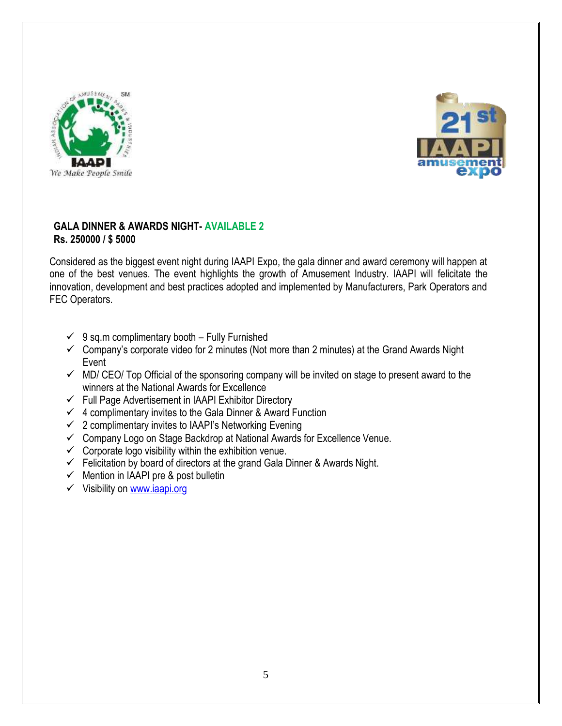



#### **GALA DINNER & AWARDS NIGHT- AVAILABLE 2 Rs. 250000 / \$ 5000**

Considered as the biggest event night during IAAPI Expo, the gala dinner and award ceremony will happen at one of the best venues. The event highlights the growth of Amusement Industry. IAAPI will felicitate the innovation, development and best practices adopted and implemented by Manufacturers, Park Operators and FEC Operators.

- $\checkmark$  9 sq.m complimentary booth Fully Furnished
- $\checkmark$  Company's corporate video for 2 minutes (Not more than 2 minutes) at the Grand Awards Night Event
- $\checkmark$  MD/ CEO/ Top Official of the sponsoring company will be invited on stage to present award to the winners at the National Awards for Excellence
- $\checkmark$  Full Page Advertisement in IAAPI Exhibitor Directory
- $\checkmark$  4 complimentary invites to the Gala Dinner & Award Function
- $\checkmark$  2 complimentary invites to IAAPI's Networking Evening
- ✓ Company Logo on Stage Backdrop at National Awards for Excellence Venue.
- $\checkmark$  Corporate logo visibility within the exhibition venue.
- $\checkmark$  Felicitation by board of directors at the grand Gala Dinner & Awards Night.
- $\checkmark$  Mention in IAAPI pre & post bulletin
- ✓ Visibility on [www.iaapi.org](http://www.iaapi.org/)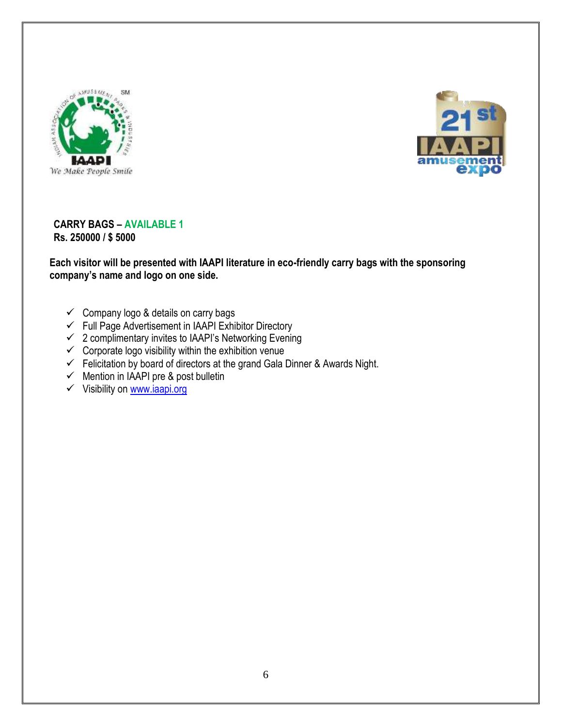



#### **CARRY BAGS – AVAILABLE 1 Rs. 250000 / \$ 5000**

**Each visitor will be presented with IAAPI literature in eco-friendly carry bags with the sponsoring company's name and logo on one side.**

- $\checkmark$  Company logo & details on carry bags
- $\checkmark$  Full Page Advertisement in IAAPI Exhibitor Directory
- $\checkmark$  2 complimentary invites to IAAPI's Networking Evening
- $\checkmark$  Corporate logo visibility within the exhibition venue
- $\checkmark$  Felicitation by board of directors at the grand Gala Dinner & Awards Night.
- $\checkmark$  Mention in IAAPI pre & post bulletin
- ✓ Visibility on [www.iaapi.org](http://www.iaapi.org/)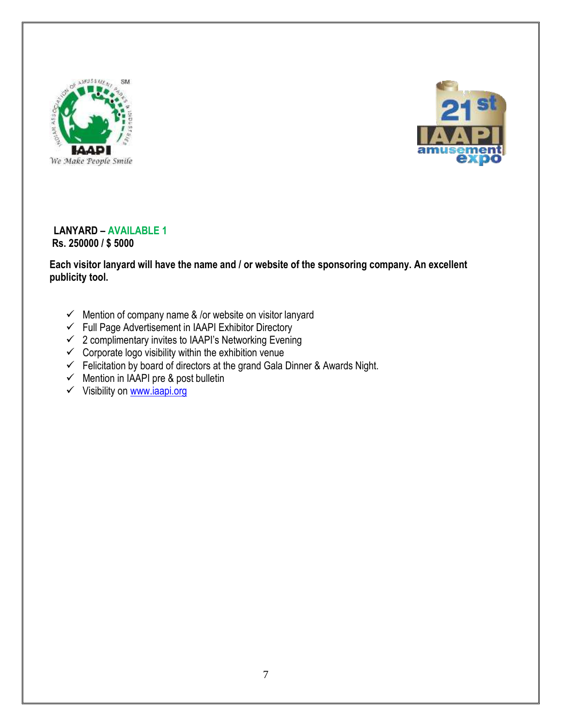



#### **LANYARD – AVAILABLE 1 Rs. 250000 / \$ 5000**

**Each visitor lanyard will have the name and / or website of the sponsoring company. An excellent publicity tool.**

- $\checkmark$  Mention of company name & /or website on visitor lanyard
- ✓ Full Page Advertisement in IAAPI Exhibitor Directory
- ✓ 2 complimentary invites to IAAPI's Networking Evening
- $\checkmark$  Corporate logo visibility within the exhibition venue
- $\checkmark$  Felicitation by board of directors at the grand Gala Dinner & Awards Night.
- $\checkmark$  Mention in IAAPI pre & post bulletin
- ✓ Visibility on [www.iaapi.org](http://www.iaapi.org/)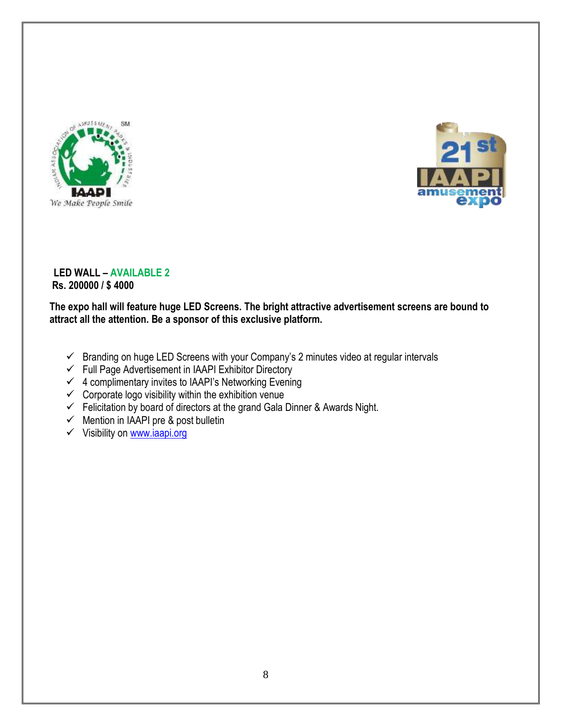



#### **LED WALL – AVAILABLE 2 Rs. 200000 / \$ 4000**

**The expo hall will feature huge LED Screens. The bright attractive advertisement screens are bound to attract all the attention. Be a sponsor of this exclusive platform.**

- $\checkmark$  Branding on huge LED Screens with your Company's 2 minutes video at regular intervals
- ✓ Full Page Advertisement in IAAPI Exhibitor Directory
- $\checkmark$  4 complimentary invites to IAAPI's Networking Evening
- $\checkmark$  Corporate logo visibility within the exhibition venue
- $\checkmark$  Felicitation by board of directors at the grand Gala Dinner & Awards Night.
- $\checkmark$  Mention in IAAPI pre & post bulletin
- ✓ Visibility on [www.iaapi.org](http://www.iaapi.org/)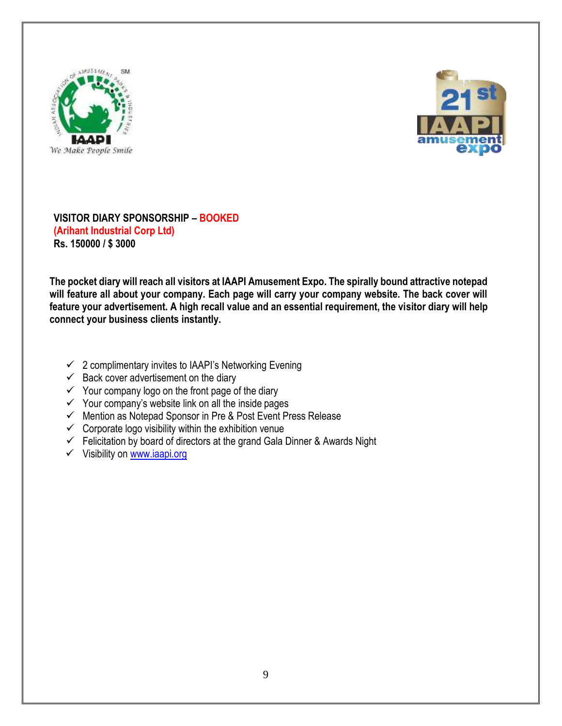



**VISITOR DIARY SPONSORSHIP – BOOKED (Arihant Industrial Corp Ltd) Rs. 150000 / \$ 3000**

**The pocket diary will reach all visitors at IAAPI Amusement Expo. The spirally bound attractive notepad will feature all about your company. Each page will carry your company website. The back cover will feature your advertisement. A high recall value and an essential requirement, the visitor diary will help connect your business clients instantly.**

- $\checkmark$  2 complimentary invites to IAAPI's Networking Evening
- $\checkmark$  Back cover advertisement on the diary
- $\checkmark$  Your company logo on the front page of the diary
- $\checkmark$  Your company's website link on all the inside pages
- ✓ Mention as Notepad Sponsor in Pre & Post Event Press Release
- $\checkmark$  Corporate logo visibility within the exhibition venue
- $\checkmark$  Felicitation by board of directors at the grand Gala Dinner & Awards Night
- ✓ Visibility on [www.iaapi.org](http://www.iaapi.org/)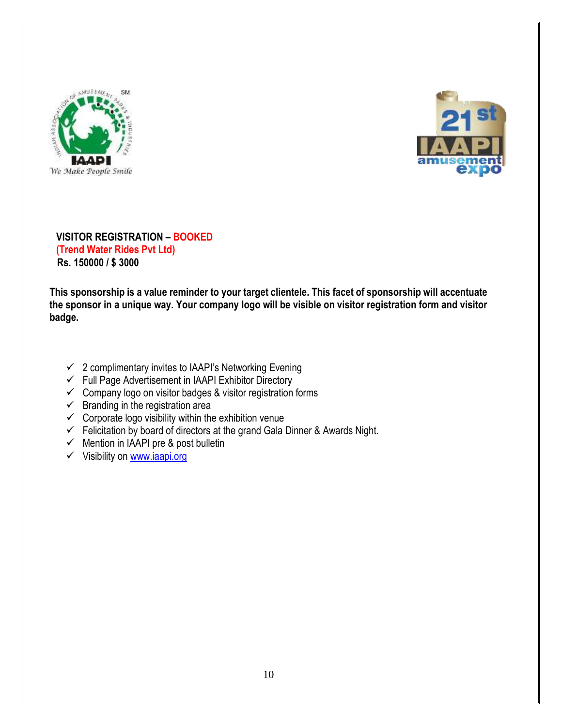



## **VISITOR REGISTRATION – BOOKED (Trend Water Rides Pvt Ltd) Rs. 150000 / \$ 3000**

**This sponsorship is a value reminder to your target clientele. This facet of sponsorship will accentuate the sponsor in a unique way. Your company logo will be visible on visitor registration form and visitor badge.**

- $\checkmark$  2 complimentary invites to IAAPI's Networking Evening
- ✓ Full Page Advertisement in IAAPI Exhibitor Directory
- $\checkmark$  Company logo on visitor badges & visitor registration forms
- $\checkmark$  Branding in the registration area
- $\checkmark$  Corporate logo visibility within the exhibition venue
- $\checkmark$  Felicitation by board of directors at the grand Gala Dinner & Awards Night.
- $\checkmark$  Mention in IAAPI pre & post bulletin
- ✓ Visibility on [www.iaapi.org](http://www.iaapi.org/)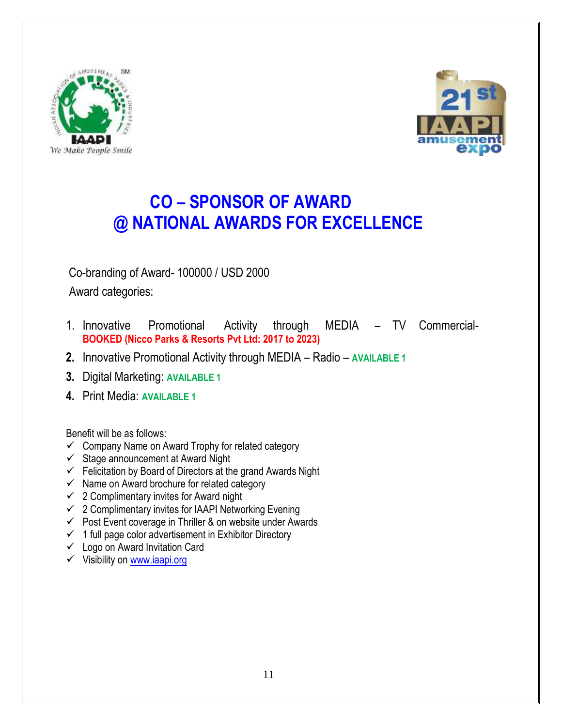



# **CO – SPONSOR OF AWARD @ NATIONAL AWARDS FOR EXCELLENCE**

Co-branding of Award- 100000 / USD 2000

Award categories:

- 1. Innovative Promotional Activity through MEDIA TV Commercial-**BOOKED (Nicco Parks & Resorts Pvt Ltd: 2017 to 2023)**
- **2.** Innovative Promotional Activity through MEDIA Radio **AVAILABLE 1**
- **3.** Digital Marketing: **AVAILABLE 1**
- **4.** Print Media: **AVAILABLE 1**

Benefit will be as follows:

- $\checkmark$  Company Name on Award Trophy for related category
- $\checkmark$  Stage announcement at Award Night
- $\checkmark$  Felicitation by Board of Directors at the grand Awards Night
- $\checkmark$  Name on Award brochure for related category
- $\checkmark$  2 Complimentary invites for Award night
- $\checkmark$  2 Complimentary invites for IAAPI Networking Evening
- $\checkmark$  Post Event coverage in Thriller & on website under Awards
- $\checkmark$  1 full page color advertisement in Exhibitor Directory
- $\checkmark$  Logo on Award Invitation Card
- ✓ Visibility on [www.iaapi.org](http://www.iaapi.org/)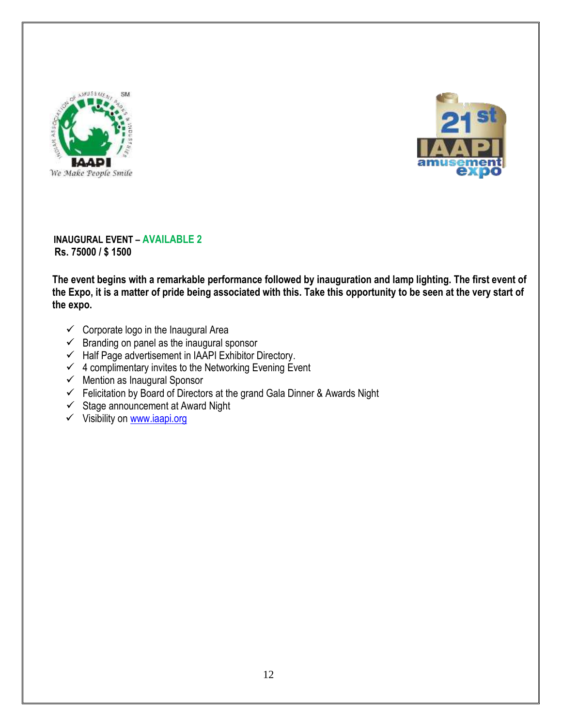



**INAUGURAL EVENT – AVAILABLE 2 Rs. 75000 / \$ 1500**

**The event begins with a remarkable performance followed by inauguration and lamp lighting. The first event of the Expo, it is a matter of pride being associated with this. Take this opportunity to be seen at the very start of the expo.**

- $\checkmark$  Corporate logo in the Inaugural Area
- $\checkmark$  Branding on panel as the inaugural sponsor
- $\checkmark$  Half Page advertisement in IAAPI Exhibitor Directory.
- $\checkmark$  4 complimentary invites to the Networking Evening Event
- $\checkmark$  Mention as Inaugural Sponsor
- $\checkmark$  Felicitation by Board of Directors at the grand Gala Dinner & Awards Night
- $\checkmark$  Stage announcement at Award Night
- ✓ Visibility on [www.iaapi.org](http://www.iaapi.org/)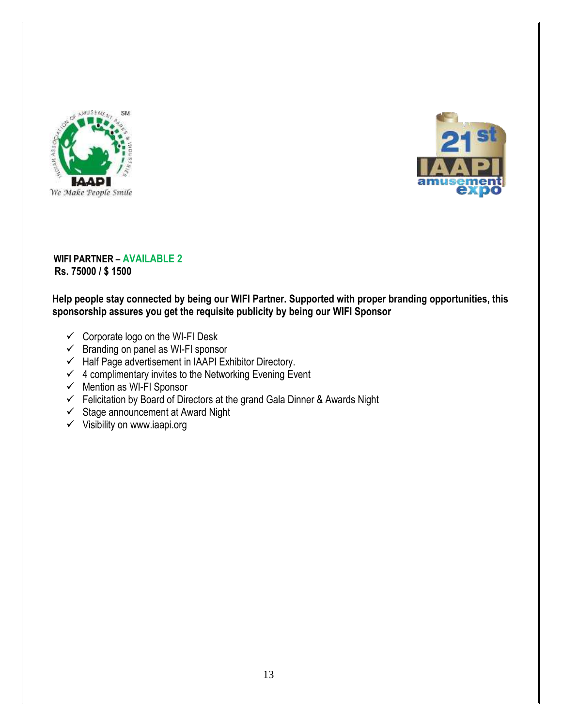



**WIFI PARTNER – AVAILABLE 2 Rs. 75000 / \$ 1500**

## **Help people stay connected by being our WIFI Partner. Supported with proper branding opportunities, this sponsorship assures you get the requisite publicity by being our WIFI Sponsor**

- ✓ Corporate logo on the WI-FI Desk
- $\checkmark$  Branding on panel as WI-FI sponsor
- $\checkmark$  Half Page advertisement in IAAPI Exhibitor Directory.
- $\checkmark$  4 complimentary invites to the Networking Evening Event
- $\checkmark$  Mention as WI-FI Sponsor
- $\checkmark$  Felicitation by Board of Directors at the grand Gala Dinner & Awards Night
- $\checkmark$  Stage announcement at Award Night
- $\checkmark$  Visibility on www.iaapi.org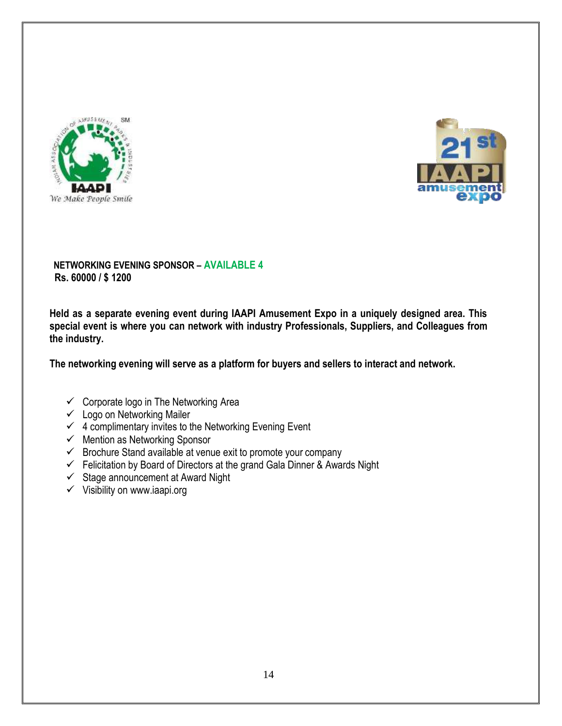



## **NETWORKING EVENING SPONSOR – AVAILABLE 4 Rs. 60000 / \$ 1200**

**Held as a separate evening event during IAAPI Amusement Expo in a uniquely designed area. This special event is where you can network with industry Professionals, Suppliers, and Colleagues from the industry.**

**The networking evening will serve as a platform for buyers and sellers to interact and network.** 

- $\checkmark$  Corporate logo in The Networking Area
- $\checkmark$  Logo on Networking Mailer
- $\checkmark$  4 complimentary invites to the Networking Evening Event
- $\checkmark$  Mention as Networking Sponsor
- $\checkmark$  Brochure Stand available at venue exit to promote your company
- $\checkmark$  Felicitation by Board of Directors at the grand Gala Dinner & Awards Night
- $\checkmark$  Stage announcement at Award Night
- $\checkmark$  Visibility on www.iaapi.org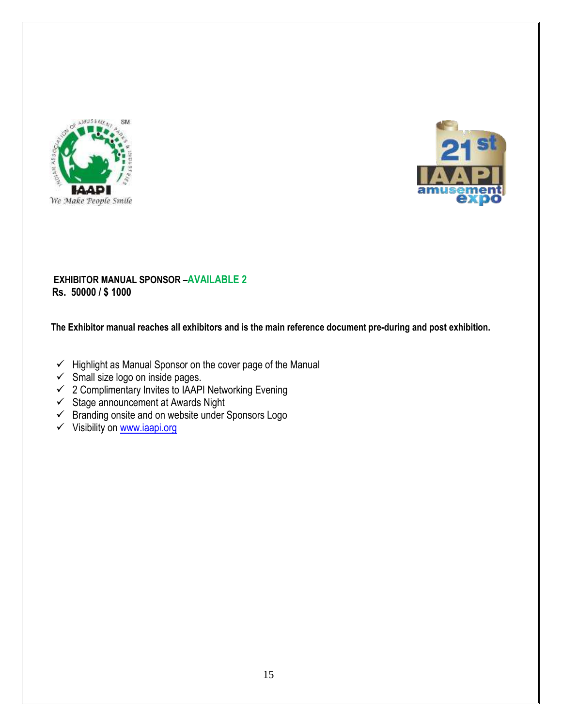



## **EXHIBITOR MANUAL SPONSOR –AVAILABLE 2 Rs. 50000 / \$ 1000**

 **The Exhibitor manual reaches all exhibitors and is the main reference document pre-during and post exhibition.** 

- ✓ Highlight as Manual Sponsor on the cover page of the Manual
- $\checkmark$  Small size logo on inside pages.
- ✓ 2 Complimentary Invites to IAAPI Networking Evening
- ✓ Stage announcement at Awards Night
- $\checkmark$  Branding onsite and on website under Sponsors Logo
- ✓ Visibility on [www.iaapi.org](http://www.iaapi.org/)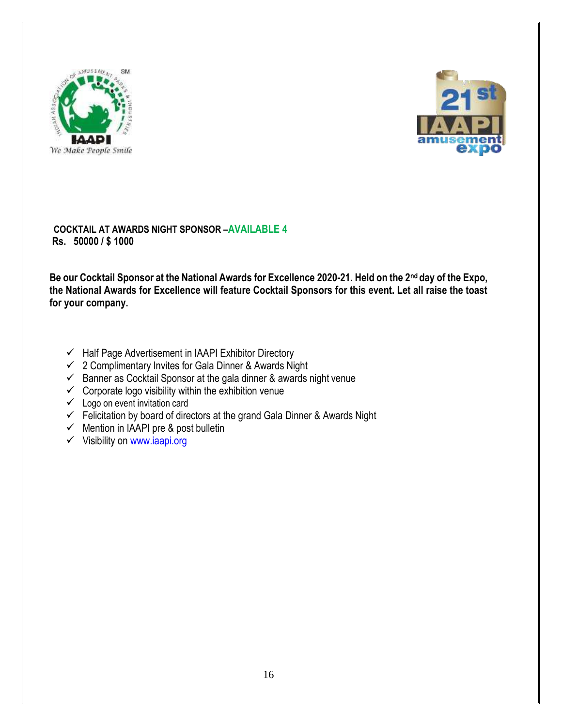



**COCKTAIL AT AWARDS NIGHT SPONSOR –AVAILABLE 4 Rs. 50000 / \$ 1000**

**Be our Cocktail Sponsor at the National Awards for Excellence 2020-21. Held on the 2nd day of the Expo, the National Awards for Excellence will feature Cocktail Sponsors for this event. Let all raise the toast for your company.**

- ✓ Half Page Advertisement in IAAPI Exhibitor Directory
- ✓ 2 Complimentary Invites for Gala Dinner & Awards Night
- $\checkmark$  Banner as Cocktail Sponsor at the gala dinner & awards night venue
- $\checkmark$  Corporate logo visibility within the exhibition venue
- $\checkmark$  Logo on event invitation card
- $\checkmark$  Felicitation by board of directors at the grand Gala Dinner & Awards Night
- $\checkmark$  Mention in IAAPI pre & post bulletin
- ✓ Visibility on [www.iaapi.org](http://www.iaapi.org/)